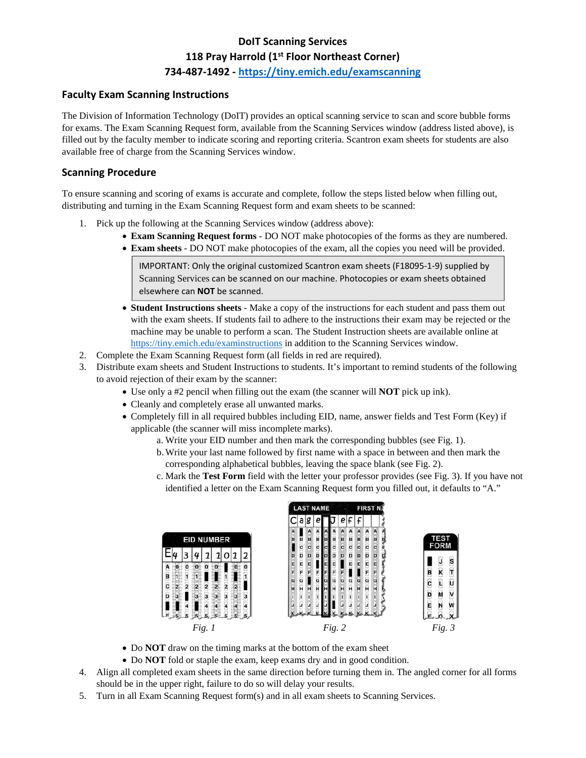# **DoIT Scanning Services 118 Pray Harrold (1st Floor Northeast Corner) 734‐487‐1492 ‐ https://tiny.emich.edu/examscanning**

### **Faculty Exam Scanning Instructions**

The Division of Information Technology (DoIT) provides an optical scanning service to scan and score bubble forms for exams. The Exam Scanning Request form, available from the Scanning Services window (address listed above), is filled out by the faculty member to indicate scoring and reporting criteria. Scantron exam sheets for students are also available free of charge from the Scanning Services window.

#### **Scanning Procedure**

To ensure scanning and scoring of exams is accurate and complete, follow the steps listed below when filling out, distributing and turning in the Exam Scanning Request form and exam sheets to be scanned:

- 1. Pick up the following at the Scanning Services window (address above):
	- **Exam Scanning Request forms** DO NOT make photocopies of the forms as they are numbered.
	- **Exam sheets** DO NOT make photocopies of the exam, all the copies you need will be provided.

IMPORTANT: Only the original customized Scantron exam sheets (F18095‐1‐9) supplied by Scanning Services can be scanned on our machine. Photocopies or exam sheets obtained elsewhere can **NOT** be scanned.

- **Student Instructions sheets** Make a copy of the instructions for each student and pass them out with the exam sheets. If students fail to adhere to the instructions their exam may be rejected or the machine may be unable to perform a scan. The Student Instruction sheets are available online at https://tiny.emich.edu/examinstructions in addition to the Scanning Services window.
- 2. Complete the Exam Scanning Request form (all fields in red are required).
- 3. Distribute exam sheets and Student Instructions to students. It's important to remind students of the following to avoid rejection of their exam by the scanner:
	- Use only a #2 pencil when filling out the exam (the scanner will **NOT** pick up ink).
	- Cleanly and completely erase all unwanted marks.
	- Completely fill in all required bubbles including EID, name, answer fields and Test Form (Key) if applicable (the scanner will miss incomplete marks).
		- a. Write your EID number and then mark the corresponding bubbles (see Fig. 1).
		- b.Write your last name followed by first name with a space in between and then mark the corresponding alphabetical bubbles, leaving the space blank (see Fig. 2).
		- c. Mark the **Test Form** field with the letter your professor provides (see Fig. 3). If you have not identified a letter on the Exam Scanning Request form you filled out, it defaults to "A."



- Do **NOT** draw on the timing marks at the bottom of the exam sheet
- Do **NOT** fold or staple the exam, keep exams dry and in good condition.
- 4. Align all completed exam sheets in the same direction before turning them in. The angled corner for all forms should be in the upper right, failure to do so will delay your results.
- 5. Turn in all Exam Scanning Request form(s) and in all exam sheets to Scanning Services.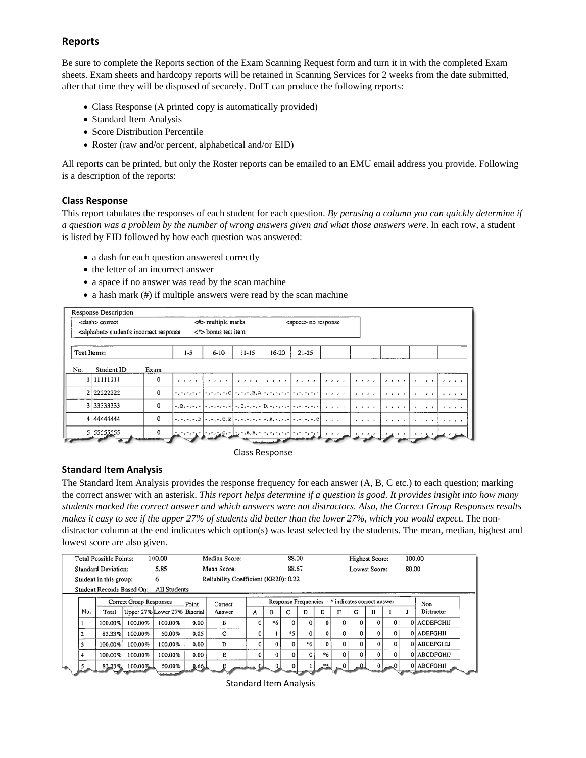## **Reports**

Be sure to complete the Reports section of the Exam Scanning Request form and turn it in with the completed Exam sheets. Exam sheets and hardcopy reports will be retained in Scanning Services for 2 weeks from the date submitted, after that time they will be disposed of securely. DoIT can produce the following reports:

- Class Response (A printed copy is automatically provided)
- Standard Item Analysis
- Score Distribution Percentile
- Roster (raw and/or percent, alphabetical and/or EID)

All reports can be printed, but only the Roster reports can be emailed to an EMU email address you provide. Following is a description of the reports:

#### **Class Response**

This report tabulates the responses of each student for each question. *By perusing a column you can quickly determine if a question was a problem by the number of wrong answers given and what those answers were*. In each row, a student is listed by EID followed by how each question was answered:

- a dash for each question answered correctly
- the letter of an incorrect answer
- a space if no answer was read by the scan machine
- a hash mark (#) if multiple answers were read by the scan machine

|                       | <b>Response Description</b>                        |      |                          |                                                                                                       |           |           |                             |                                            |          |           |                 |          |
|-----------------------|----------------------------------------------------|------|--------------------------|-------------------------------------------------------------------------------------------------------|-----------|-----------|-----------------------------|--------------------------------------------|----------|-----------|-----------------|----------|
| <dash> correct</dash> |                                                    |      | $\leq$ #> multiple marks |                                                                                                       |           |           | <space> no response</space> |                                            |          |           |                 |          |
|                       | <alphabet> student's incorrect response</alphabet> |      |                          | $\langle$ *> bonus test item                                                                          |           |           |                             |                                            |          |           |                 |          |
| Test Items:           |                                                    |      | $1 - 5$                  | $6 - 10$                                                                                              | $11 - 15$ | $16 - 20$ | $21 - 25$                   |                                            |          |           |                 |          |
| No.                   | Student ID                                         | Exam |                          |                                                                                                       |           |           |                             |                                            |          |           |                 |          |
|                       | 1 1 1 1 1 1 1 1 1 1                                | 0    |                          | بالمتحدث والمتمتح والمتحدث والمتحدث المتحدث والمتحدث                                                  |           |           |                             | $\mathbf{r}$ , $\mathbf{r}$ , $\mathbf{r}$ | $\cdots$ | 1 1 1 1 1 | $1 - 1 - 1 - 1$ | $\cdots$ |
|                       | 2 22222222                                         | 0    |                          | المناصر المناطر المنادر والمتحدث والمتحدث والمرهز مرجز مال مرد ومناور مردوب والمتحدث                  |           |           |                             |                                            |          | . 1       | .               | $\cdots$ |
|                       | 3 33333333                                         | 0    |                          | المناصر المناطر المنادر والمتحدث والمتحدث والمتحدث والمتحدث والمتحدث والمتحدث والمناسبة والمتحدث      |           |           |                             |                                            |          | .         | 1.1.1.1         | $\cdots$ |
|                       | 4 44444444                                         | 0    |                          |                                                                                                       |           |           |                             |                                            | .        | .         | $\cdots$        | 1 1 1 1  |
|                       | 5 55555555                                         | 0    |                          | المناسبين المناسب والمواسط المناصر والمتمرد المتمرد المتقاومة المتواطنين والمتمرد والمواصلة والمتواطن |           |           |                             |                                            |          |           |                 |          |

#### Class Response

#### **Standard Item Analysis**

The Standard Item Analysis provides the response frequency for each answer (A, B, C etc.) to each question; marking the correct answer with an asterisk. *This report helps determine if a question is good. It provides insight into how many students marked the correct answer and which answers were not distractors. Also, the Correct Group Responses results makes it easy to see if the upper 27% of students did better than the lower 27%, which you would expect*. The nondistractor column at the end indicates which option(s) was least selected by the students. The mean, median, highest and lowest score are also given.

| <b>Total Possible Points:</b><br>100.00   |           | Median Score: |                              |                                      | 88.00   |          |                                                   |    | <b>Highest Score:</b> |      |          | 100.00   |       |          |                  |             |  |
|-------------------------------------------|-----------|---------------|------------------------------|--------------------------------------|---------|----------|---------------------------------------------------|----|-----------------------|------|----------|----------|-------|----------|------------------|-------------|--|
| 5.85<br><b>Standard Deviation:</b>        |           | Mean Score:   |                              |                                      | 88.67   |          |                                                   |    | Lowest Score:         |      |          |          | 80.00 |          |                  |             |  |
| Student in this group:<br>6               |           |               |                              | Reliability Coefficient (KR20): 0.22 |         |          |                                                   |    |                       |      |          |          |       |          |                  |             |  |
| Student Records Based On:<br>All Students |           |               |                              |                                      |         |          |                                                   |    |                       |      |          |          |       |          |                  |             |  |
| Correct Group Responses                   |           |               |                              | Point                                | Correct |          | Response Frequencies - * indicates correct answer |    |                       |      |          |          |       |          |                  | Non         |  |
| No.                                       | Total     |               | Upper 27% Lower 27% Biserial |                                      | Answer  | A        | B                                                 |    | D                     | Е    | F        | G        | н     |          |                  | Distractor  |  |
|                                           | 100.00%   | 100.00%       | 100.00%                      | 0.00                                 | в       | 0        | *6                                                |    | $\bf{0}$              |      |          | $\Omega$ |       | $\bf{0}$ |                  | 0 ACDEFGHIJ |  |
| 2                                         | 83.33%    | 100.00%       | 50.00%                       | 0.05                                 | C       | 0        |                                                   | *5 | $\bf{0}$              | 0    | 0        | 0        |       | 0        |                  | 0 ADEFGHIJ  |  |
| 3                                         | 100.00%   | 100.00%       | 100.00%                      | 0.00                                 | D       | n        |                                                   |    | $*6$                  |      |          | $\Omega$ |       | 0        |                  | 0 ABCEFGHIJ |  |
| 4                                         | 100.00%   | 100.00%       | 100.00%                      | 0.00                                 | Е       | $\Omega$ |                                                   |    |                       | *6   | $\Omega$ | 0        |       | 0        |                  | 0 ABCDFGHIJ |  |
|                                           | $83.33\%$ | $100.00\%$    | 50.00%                       | 0.66                                 |         |          |                                                   |    |                       | $*5$ | $\Omega$ |          |       |          | <b>TANK CAMP</b> | 0 ABCFGHIJ  |  |

Standard Item Analysis